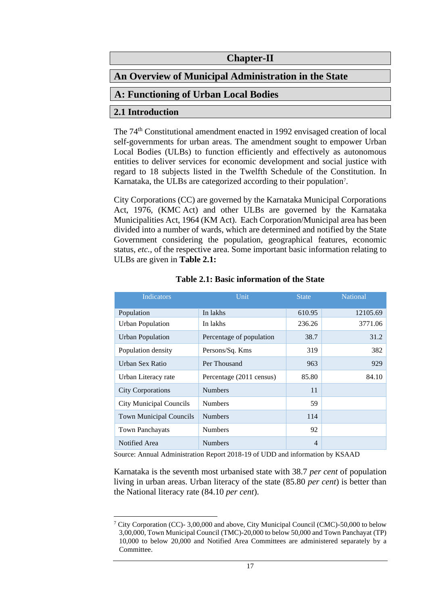# **Chapter-II**

# **An Overview of Municipal Administration in the State**

# **A: Functioning of Urban Local Bodies**

# **2.1 Introduction**

The 74th Constitutional amendment enacted in 1992 envisaged creation of local self-governments for urban areas. The amendment sought to empower Urban Local Bodies (ULBs) to function efficiently and effectively as autonomous entities to deliver services for economic development and social justice with regard to 18 subjects listed in the Twelfth Schedule of the Constitution. In Karnataka, the ULBs are categorized according to their population<sup>7</sup>.

City Corporations (CC) are governed by the Karnataka Municipal Corporations Act, 1976, (KMC Act) and other ULBs are governed by the Karnataka Municipalities Act, 1964 (KM Act). Each Corporation/Municipal area has been divided into a number of wards, which are determined and notified by the State Government considering the population, geographical features, economic status, *etc.*, of the respective area. Some important basic information relating to ULBs are given in **Table 2.1:**

| Indicators                     | Unit                     | <b>State</b> | <b>National</b> |
|--------------------------------|--------------------------|--------------|-----------------|
| Population                     | In lakhs                 | 610.95       | 12105.69        |
| <b>Urban Population</b>        | In lakhs                 | 236.26       | 3771.06         |
| <b>Urban Population</b>        | Percentage of population | 38.7         | 31.2            |
| Population density             | Persons/Sq. Kms          | 319          | 382             |
| Urban Sex Ratio                | Per Thousand             | 963          | 929             |
| Urban Literacy rate            | Percentage (2011 census) | 85.80        | 84.10           |
| <b>City Corporations</b>       | <b>Numbers</b>           | 11           |                 |
| <b>City Municipal Councils</b> | <b>Numbers</b>           | 59           |                 |
| <b>Town Municipal Councils</b> | <b>Numbers</b>           | 114          |                 |
| <b>Town Panchayats</b>         | <b>Numbers</b>           | 92           |                 |
| Notified Area                  | <b>Numbers</b>           | 4            |                 |

#### **Table 2.1: Basic information of the State**

Source: Annual Administration Report 2018-19 of UDD and information by KSAAD

Karnataka is the seventh most urbanised state with 38.7 *per cent* of population living in urban areas. Urban literacy of the state (85.80 *per cent*) is better than the National literacy rate (84.10 *per cent*).

<sup>&</sup>lt;sup>7</sup> City Corporation (CC)- 3,00,000 and above, City Municipal Council (CMC)-50,000 to below 3,00,000, Town Municipal Council (TMC)-20,000 to below 50,000 and Town Panchayat (TP) 10,000 to below 20,000 and Notified Area Committees are administered separately by a Committee.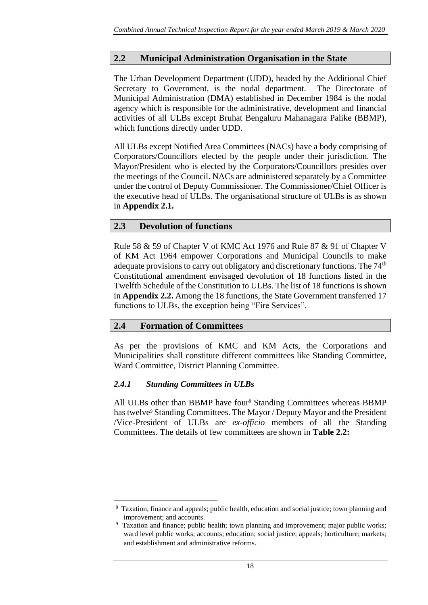# **2.2 Municipal Administration Organisation in the State**

The Urban Development Department (UDD), headed by the Additional Chief Secretary to Government, is the nodal department. The Directorate of Municipal Administration (DMA) established in December 1984 is the nodal agency which is responsible for the administrative, development and financial activities of all ULBs except Bruhat Bengaluru Mahanagara Palike (BBMP), which functions directly under UDD.

All ULBs except Notified Area Committees (NACs) have a body comprising of Corporators/Councillors elected by the people under their jurisdiction. The Mayor/President who is elected by the Corporators/Councillors presides over the meetings of the Council. NACs are administered separately by a Committee under the control of Deputy Commissioner. The Commissioner/Chief Officer is the executive head of ULBs. The organisational structure of ULBs is as shown in **Appendix 2.1.**

# **2.3 Devolution of functions**

Rule 58 & 59 of Chapter V of KMC Act 1976 and Rule 87 & 91 of Chapter V of KM Act 1964 empower Corporations and Municipal Councils to make adequate provisions to carry out obligatory and discretionary functions. The  $74<sup>th</sup>$ Constitutional amendment envisaged devolution of 18 functions listed in the Twelfth Schedule of the Constitution to ULBs. The list of 18 functions is shown in **Appendix 2.2.** Among the 18 functions, the State Government transferred 17 functions to ULBs, the exception being "Fire Services".

# **2.4 Formation of Committees**

As per the provisions of KMC and KM Acts, the Corporations and Municipalities shall constitute different committees like Standing Committee, Ward Committee, District Planning Committee.

# *2.4.1 Standing Committees in ULBs*

All ULBs other than BBMP have four<sup>8</sup> Standing Committees whereas BBMP has twelve<sup>9</sup> Standing Committees. The Mayor / Deputy Mayor and the President /Vice-President of ULBs are *ex-officio* members of all the Standing Committees. The details of few committees are shown in **Table 2.2:**

<sup>8</sup> Taxation, finance and appeals; public health, education and social justice; town planning and improvement; and accounts.

<sup>9</sup> Taxation and finance; public health; town planning and improvement; major public works; ward level public works; accounts; education; social justice; appeals; horticulture; markets; and establishment and administrative reforms.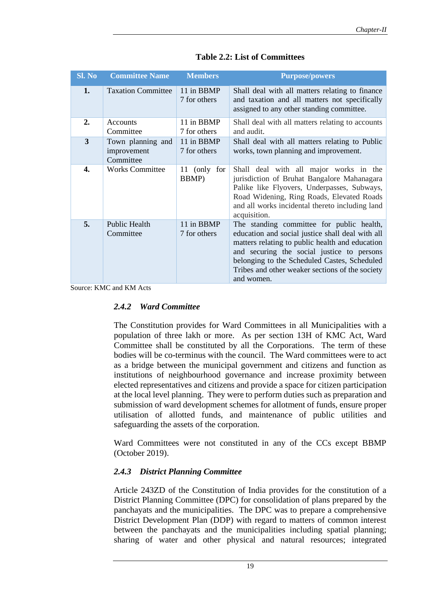| Sl. No | <b>Committee Name</b>                         | <b>Members</b>             | <b>Purpose/powers</b>                                                                                                                                                                                                                                                                                           |
|--------|-----------------------------------------------|----------------------------|-----------------------------------------------------------------------------------------------------------------------------------------------------------------------------------------------------------------------------------------------------------------------------------------------------------------|
| 1.     | <b>Taxation Committee</b>                     | 11 in BBMP<br>7 for others | Shall deal with all matters relating to finance<br>and taxation and all matters not specifically<br>assigned to any other standing committee.                                                                                                                                                                   |
| 2.     | Accounts<br>Committee                         | 11 in BBMP<br>7 for others | Shall deal with all matters relating to accounts<br>and audit.                                                                                                                                                                                                                                                  |
| 3      | Town planning and<br>improvement<br>Committee | 11 in BBMP<br>7 for others | Shall deal with all matters relating to Public<br>works, town planning and improvement.                                                                                                                                                                                                                         |
| 4.     | <b>Works Committee</b>                        | 11 (only for<br>BBMP)      | Shall deal with all major works in the<br>jurisdiction of Bruhat Bangalore Mahanagara<br>Palike like Flyovers, Underpasses, Subways,<br>Road Widening, Ring Roads, Elevated Roads<br>and all works incidental thereto including land<br>acquisition.                                                            |
| 5.     | <b>Public Health</b><br>Committee             | 11 in BBMP<br>7 for others | The standing committee for public health,<br>education and social justice shall deal with all<br>matters relating to public health and education<br>and securing the social justice to persons<br>belonging to the Scheduled Castes, Scheduled<br>Tribes and other weaker sections of the society<br>and women. |

**Table 2.2: List of Committees**

Source: KMC and KM Acts

### *2.4.2 Ward Committee*

The Constitution provides for Ward Committees in all Municipalities with a population of three lakh or more. As per section 13H of KMC Act, Ward Committee shall be constituted by all the Corporations. The term of these bodies will be co-terminus with the council. The Ward committees were to act as a bridge between the municipal government and citizens and function as institutions of neighbourhood governance and increase proximity between elected representatives and citizens and provide a space for citizen participation at the local level planning. They were to perform duties such as preparation and submission of ward development schemes for allotment of funds, ensure proper utilisation of allotted funds, and maintenance of public utilities and safeguarding the assets of the corporation.

Ward Committees were not constituted in any of the CCs except BBMP (October 2019).

# *2.4.3 District Planning Committee*

Article 243ZD of the Constitution of India provides for the constitution of a District Planning Committee (DPC) for consolidation of plans prepared by the panchayats and the municipalities. The DPC was to prepare a comprehensive District Development Plan (DDP) with regard to matters of common interest between the panchayats and the municipalities including spatial planning; sharing of water and other physical and natural resources; integrated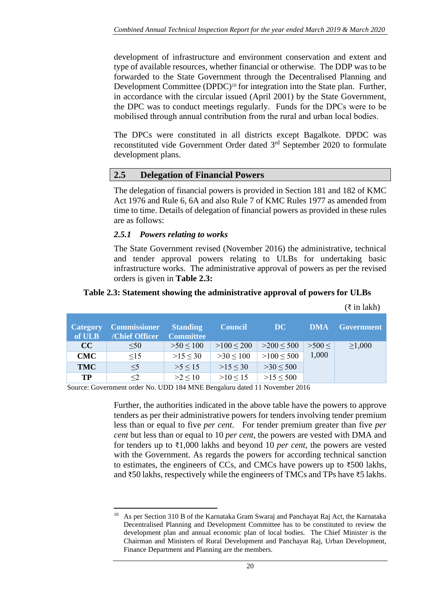development of infrastructure and environment conservation and extent and type of available resources, whether financial or otherwise. The DDP was to be forwarded to the State Government through the Decentralised Planning and Development Committee (DPDC)<sup>10</sup> for integration into the State plan. Further, in accordance with the circular issued (April 2001) by the State Government, the DPC was to conduct meetings regularly. Funds for the DPCs were to be mobilised through annual contribution from the rural and urban local bodies.

The DPCs were constituted in all districts except Bagalkote. DPDC was reconstituted vide Government Order dated 3<sup>rd</sup> September 2020 to formulate development plans.

# **2.5 Delegation of Financial Powers**

The delegation of financial powers is provided in Section 181 and 182 of KMC Act 1976 and Rule 6, 6A and also Rule 7 of KMC Rules 1977 as amended from time to time. Details of delegation of financial powers as provided in these rules are as follows:

#### *2.5.1 Powers relating to works*

The State Government revised (November 2016) the administrative, technical and tender approval powers relating to ULBs for undertaking basic infrastructure works. The administrative approval of powers as per the revised orders is given in **Table 2.3:**

 $(ē$  in lakh)

|                           |                                       |                                     |                |                |            | $\sqrt{1111111111}$ |
|---------------------------|---------------------------------------|-------------------------------------|----------------|----------------|------------|---------------------|
| <b>Category</b><br>of ULB | <b>Commissioner</b><br>/Chief Officer | <b>Standing</b><br><b>Committee</b> | <b>Council</b> | DC             | <b>DMA</b> | <b>Government</b>   |
| CC                        | $\leq 50$                             | $>50 \le 100$                       | $>100 \le 200$ | $>200 \le 500$ | >500<      | $\geq 1,000$        |
| <b>CMC</b>                | $\leq$ 15                             | $>15 \le 30$                        | $>30 \le 100$  | $>100 \le 500$ | 1,000      |                     |
| <b>TMC</b>                | $\leq$ 5                              | $>5 \le 15$                         | $>15 \le 30$   | $>30 \le 500$  |            |                     |
| TP                        | $\leq$ 2                              | $>2 \le 10$                         | $>10 \le 15$   | $>15 \le 500$  |            |                     |

#### **Table 2.3: Statement showing the administrative approval of powers for ULBs**

Source: Government order No. UDD 184 MNE Bengaluru dated 11 November 2016

Further, the authorities indicated in the above table have the powers to approve tenders as per their administrative powers for tenders involving tender premium less than or equal to five *per cent*. For tender premium greater than five *per cent* but less than or equal to 10 *per cent,* the powers are vested with DMA and for tenders up to ₹1,000 lakhs and beyond 10 *per cent*, the powers are vested with the Government. As regards the powers for according technical sanction to estimates, the engineers of CCs, and CMCs have powers up to  $\overline{500}$  lakhs, and ₹50 lakhs, respectively while the engineers of TMCs and TPs have ₹5 lakhs.

<sup>&</sup>lt;sup>10</sup> As per Section 310 B of the Karnataka Gram Swaraj and Panchayat Raj Act, the Karnataka Decentralised Planning and Development Committee has to be constituted to review the development plan and annual economic plan of local bodies. The Chief Minister is the Chairman and Ministers of Rural Development and Panchayat Raj, Urban Development, Finance Department and Planning are the members.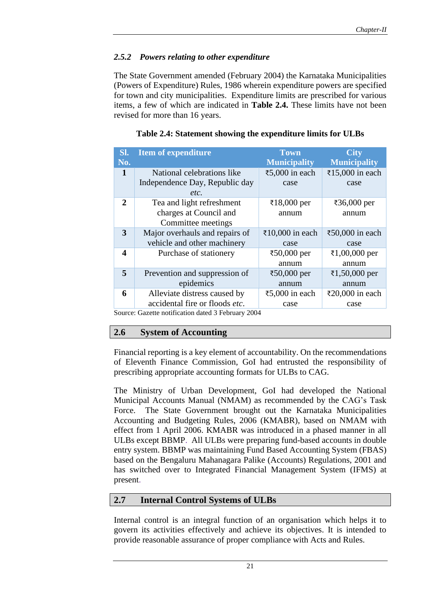# *2.5.2 Powers relating to other expenditure*

The State Government amended (February 2004) the Karnataka Municipalities (Powers of Expenditure) Rules, 1986 wherein expenditure powers are specified for town and city municipalities. Expenditure limits are prescribed for various items, a few of which are indicated in **Table 2.4.** These limits have not been revised for more than 16 years.

| SI.<br>No.   | <b>Item of expenditure</b>                         | <b>Town</b><br><b>Municipality</b> | <b>City</b><br><b>Municipality</b> |
|--------------|----------------------------------------------------|------------------------------------|------------------------------------|
| $\mathbf{1}$ | National celebrations like                         | ₹5,000 in each                     | ₹15,000 in each                    |
|              |                                                    |                                    |                                    |
|              | Independence Day, Republic day                     | case                               | case                               |
|              | etc.                                               |                                    |                                    |
| $\mathbf{2}$ | Tea and light refreshment                          | ₹18,000 per                        | ₹36,000 per                        |
|              | charges at Council and                             | annum                              | annum                              |
|              | Committee meetings                                 |                                    |                                    |
| 3            | Major overhauls and repairs of                     | ₹10,000 in each                    | ₹50,000 in each                    |
|              | vehicle and other machinery                        | case                               | case                               |
| 4            | Purchase of stationery                             | ₹50,000 per                        | ₹1,00,000 per                      |
|              |                                                    | annum                              | annum                              |
| 5            | Prevention and suppression of                      | ₹50,000 per                        | ₹1,50,000 per                      |
|              | epidemics                                          | annum                              | annum                              |
| 6            | Alleviate distress caused by                       | ₹5,000 in each                     | ₹20,000 in each                    |
|              | accidental fire or floods etc.                     | case                               | case                               |
|              | Source: Gazette notification dated 3 February 2004 |                                    |                                    |

#### **Table 2.4: Statement showing the expenditure limits for ULBs**

Source: Gazette notification dated 3 February 2004

#### **2.6 System of Accounting**

Financial reporting is a key element of accountability. On the recommendations of Eleventh Finance Commission, GoI had entrusted the responsibility of prescribing appropriate accounting formats for ULBs to CAG.

The Ministry of Urban Development, GoI had developed the National Municipal Accounts Manual (NMAM) as recommended by the CAG's Task Force. The State Government brought out the Karnataka Municipalities Accounting and Budgeting Rules, 2006 (KMABR), based on NMAM with effect from 1 April 2006. KMABR was introduced in a phased manner in all ULBs except BBMP. All ULBs were preparing fund-based accounts in double entry system. BBMP was maintaining Fund Based Accounting System (FBAS) based on the Bengaluru Mahanagara Palike (Accounts) Regulations, 2001 and has switched over to Integrated Financial Management System (IFMS) at present.

# **2.7 Internal Control Systems of ULBs**

Internal control is an integral function of an organisation which helps it to govern its activities effectively and achieve its objectives. It is intended to provide reasonable assurance of proper compliance with Acts and Rules.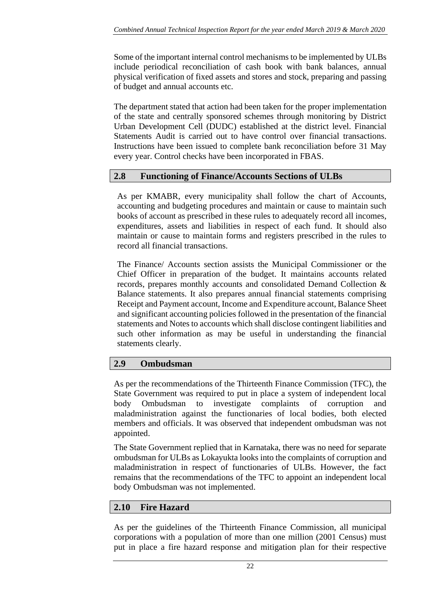Some of the important internal control mechanisms to be implemented by ULBs include periodical reconciliation of cash book with bank balances, annual physical verification of fixed assets and stores and stock, preparing and passing of budget and annual accounts etc.

The department stated that action had been taken for the proper implementation of the state and centrally sponsored schemes through monitoring by District Urban Development Cell (DUDC) established at the district level. Financial Statements Audit is carried out to have control over financial transactions. Instructions have been issued to complete bank reconciliation before 31 May every year. Control checks have been incorporated in FBAS.

# **2.8 Functioning of Finance/Accounts Sections of ULBs**

As per KMABR, every municipality shall follow the chart of Accounts, accounting and budgeting procedures and maintain or cause to maintain such books of account as prescribed in these rules to adequately record all incomes, expenditures, assets and liabilities in respect of each fund. It should also maintain or cause to maintain forms and registers prescribed in the rules to record all financial transactions.

The Finance/ Accounts section assists the Municipal Commissioner or the Chief Officer in preparation of the budget. It maintains accounts related records, prepares monthly accounts and consolidated Demand Collection & Balance statements. It also prepares annual financial statements comprising Receipt and Payment account, Income and Expenditure account, Balance Sheet and significant accounting policies followed in the presentation of the financial statements and Notes to accounts which shall disclose contingent liabilities and such other information as may be useful in understanding the financial statements clearly.

# **2.9 Ombudsman**

As per the recommendations of the Thirteenth Finance Commission (TFC), the State Government was required to put in place a system of independent local body Ombudsman to investigate complaints of corruption and maladministration against the functionaries of local bodies, both elected members and officials. It was observed that independent ombudsman was not appointed.

The State Government replied that in Karnataka, there was no need for separate ombudsman for ULBs as Lokayukta looks into the complaints of corruption and maladministration in respect of functionaries of ULBs. However, the fact remains that the recommendations of the TFC to appoint an independent local body Ombudsman was not implemented.

# **2.10 Fire Hazard**

As per the guidelines of the Thirteenth Finance Commission, all municipal corporations with a population of more than one million (2001 Census) must put in place a fire hazard response and mitigation plan for their respective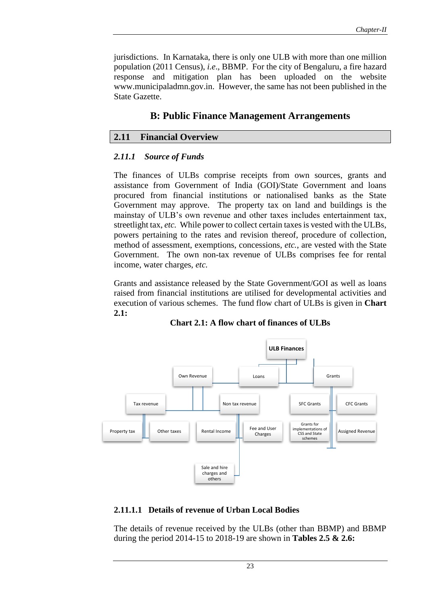jurisdictions. In Karnataka, there is only one ULB with more than one million population (2011 Census), *i.e*., BBMP. For the city of Bengaluru, a fire hazard response and mitigation plan has been uploaded on the website www.municipaladmn.gov.in. However, the same has not been published in the State Gazette.

# **B: Public Finance Management Arrangements**

### **2.11 Financial Overview**

#### *2.11.1 Source of Funds*

The finances of ULBs comprise receipts from own sources, grants and assistance from Government of India (GOI)/State Government and loans procured from financial institutions or nationalised banks as the State Government may approve. The property tax on land and buildings is the mainstay of ULB's own revenue and other taxes includes entertainment tax, streetlight tax, *etc.* While power to collect certain taxes is vested with the ULBs, powers pertaining to the rates and revision thereof, procedure of collection, method of assessment, exemptions, concessions, *etc.*, are vested with the State Government. The own non-tax revenue of ULBs comprises fee for rental income, water charges, *etc.*

Grants and assistance released by the State Government/GOI as well as loans raised from financial institutions are utilised for developmental activities and execution of various schemes. The fund flow chart of ULBs is given in **Chart 2.1:**



**Chart 2.1: A flow chart of finances of ULBs**

#### **2.11.1.1 Details of revenue of Urban Local Bodies**

The details of revenue received by the ULBs (other than BBMP) and BBMP during the period 2014-15 to 2018-19 are shown in **Tables 2.5 & 2.6:**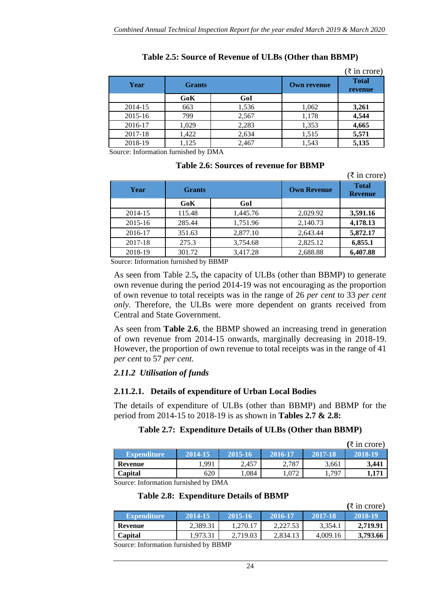|         |               |       |                    | $(\overline{\xi}$ in crore) |
|---------|---------------|-------|--------------------|-----------------------------|
| Year    | <b>Grants</b> |       | <b>Own revenue</b> | <b>Total</b><br>revenue     |
|         | GoK           | GoI   |                    |                             |
| 2014-15 | 663           | 1,536 | 1,062              | 3,261                       |
| 2015-16 | 799           | 2,567 | 1,178              | 4,544                       |
| 2016-17 | 1,029         | 2,283 | 1,353              | 4,665                       |
| 2017-18 | 1,422         | 2,634 | 1,515              | 5,571                       |
| 2018-19 | 1,125         | 2,467 | 1,543              | 5,135                       |

# **Table 2.5: Source of Revenue of ULBs (Other than BBMP)**

Source: Information furnished by DMA

#### **Table 2.6: Sources of revenue for BBMP**

|         |               |          |                    | $(\xi$ in crore)               |
|---------|---------------|----------|--------------------|--------------------------------|
| Year    | <b>Grants</b> |          | <b>Own Revenue</b> | <b>Total</b><br><b>Revenue</b> |
|         | GoK           | GoI      |                    |                                |
| 2014-15 | 115.48        | 1,445.76 | 2,029.92           | 3,591.16                       |
| 2015-16 | 285.44        | 1,751.96 | 2,140.73           | 4,178.13                       |
| 2016-17 | 351.63        | 2,877.10 | 2,643.44           | 5,872.17                       |
| 2017-18 | 275.3         | 3,754.68 | 2,825.12           | 6,855.1                        |
| 2018-19 | 301.72        | 3,417.28 | 2,688.88           | 6,407.88                       |

Source: Information furnished by BBMP

As seen from Table 2.5**,** the capacity of ULBs (other than BBMP) to generate own revenue during the period 2014-19 was not encouraging as the proportion of own revenue to total receipts was in the range of 26 *per cent* to 33 *per cent only.* Therefore, the ULBs were more dependent on grants received from Central and State Government.

As seen from **Table 2.6**, the BBMP showed an increasing trend in generation of own revenue from 2014-15 onwards, marginally decreasing in 2018-19. However, the proportion of own revenue to total receipts was in the range of 41 *per cent* to 57 *per cent.*

# *2.11.2 Utilisation of funds*

# **2.11.2.1. Details of expenditure of Urban Local Bodies**

The details of expenditure of ULBs (other than BBMP) and BBMP for the period from 2014-15 to 2018-19 is as shown in **Tables 2.7 & 2.8:**

# **Table 2.7: Expenditure Details of ULBs (Other than BBMP)**

|                    |         |         |         |         | $(\xi \text{ in } \text{core})$ |
|--------------------|---------|---------|---------|---------|---------------------------------|
| <b>Expenditure</b> | 2014-15 | 2015-16 | 2016-17 | 2017-18 | 2018-19                         |
| Revenue            | .991    | 2,457   | 2,787   | 3,661   | 3,441                           |
| Capital            | 620     | 0.084   | .072    | 1,797   | 1.171                           |

Source: Information furnished by DMA

#### **Table 2.8: Expenditure Details of BBMP**

|                    |          |          |          |          | $(\xi \text{ in } \text{core})$ |
|--------------------|----------|----------|----------|----------|---------------------------------|
| <b>Expenditure</b> | 2014-15  | 2015-16  | 2016-17  | 2017-18  | 2018-19                         |
| Revenue            | 2,389.31 | 1.270.17 | 2.227.53 | 3,354.1  | 2.719.91                        |
| Capital            | 1.973.31 | 2.719.03 | 2.834.13 | 4.009.16 | 3,793.66                        |

Source: Information furnished by BBMP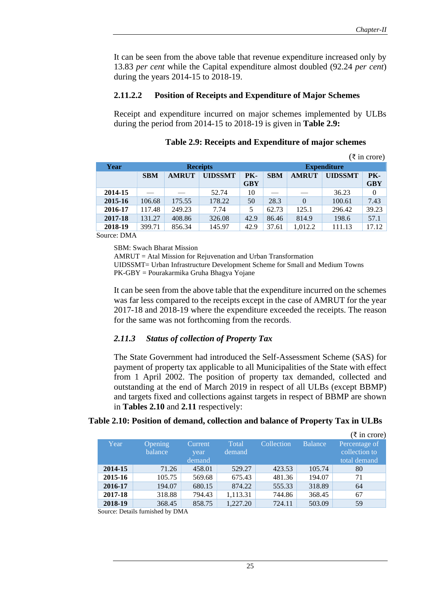It can be seen from the above table that revenue expenditure increased only by 13.83 *per cent* while the Capital expenditure almost doubled (92.24 *per cent*) during the years 2014-15 to 2018-19.

#### **2.11.2.2 Position of Receipts and Expenditure of Major Schemes**

Receipt and expenditure incurred on major schemes implemented by ULBs during the period from 2014-15 to 2018-19 is given in **Table 2.9:**

|         |                 |              |                |            |            |                    |                | $(\xi \text{ in } \text{core})$ |
|---------|-----------------|--------------|----------------|------------|------------|--------------------|----------------|---------------------------------|
| Year    | <b>Receipts</b> |              |                |            |            | <b>Expenditure</b> |                |                                 |
|         | <b>SBM</b>      | <b>AMRUT</b> | <b>UIDSSMT</b> | PK-        | <b>SBM</b> | <b>AMRUT</b>       | <b>UIDSSMT</b> | PK-                             |
|         |                 |              |                | <b>GBY</b> |            |                    |                | <b>GBY</b>                      |
| 2014-15 |                 |              | 52.74          | 10         |            |                    | 36.23          | $\Omega$                        |
| 2015-16 | 106.68          | 175.55       | 178.22         | 50         | 28.3       | $\Omega$           | 100.61         | 7.43                            |
| 2016-17 | 117.48          | 249.23       | 7.74           | 5          | 62.73      | 125.1              | 296.42         | 39.23                           |
| 2017-18 | 131.27          | 408.86       | 326.08         | 42.9       | 86.46      | 814.9              | 198.6          | 57.1                            |
| 2018-19 | 399.71          | 856.34       | 145.97         | 42.9       | 37.61      | 1.012.2            | 111.13         | 17.12                           |

**Table 2.9: Receipts and Expenditure of major schemes**

Source: DMA

SBM: Swach Bharat Mission

AMRUT = Atal Mission for Rejuvenation and Urban Transformation

UIDSSMT= Urban Infrastructure Development Scheme for Small and Medium Towns PK-GBY = Pourakarmika Gruha Bhagya Yojane

It can be seen from the above table that the expenditure incurred on the schemes was far less compared to the receipts except in the case of AMRUT for the year 2017-18 and 2018-19 where the expenditure exceeded the receipts. The reason for the same was not forthcoming from the records.

#### *2.11.3 Status of collection of Property Tax*

The State Government had introduced the Self-Assessment Scheme (SAS) for payment of property tax applicable to all Municipalities of the State with effect from 1 April 2002. The position of property tax demanded, collected and outstanding at the end of March 2019 in respect of all ULBs (except BBMP) and targets fixed and collections against targets in respect of BBMP are shown in **Tables 2.10** and **2.11** respectively:

#### **Table 2.10: Position of demand, collection and balance of Property Tax in ULBs**

|         |         |         |               |            |                | $(\bar{z}$ in crore) |
|---------|---------|---------|---------------|------------|----------------|----------------------|
| Year    | Opening | Current | <b>T</b> otal | Collection | <b>Balance</b> | Percentage of        |
|         | balance | year    | demand        |            |                | collection to        |
|         |         | demand  |               |            |                | total demand         |
| 2014-15 | 71.26   | 458.01  | 529.27        | 423.53     | 105.74         | 80                   |
| 2015-16 | 105.75  | 569.68  | 675.43        | 481.36     | 194.07         | 71                   |
| 2016-17 | 194.07  | 680.15  | 874.22        | 555.33     | 318.89         | 64                   |
| 2017-18 | 318.88  | 794.43  | 1,113.31      | 744.86     | 368.45         | 67                   |
| 2018-19 | 368.45  | 858.75  | 1,227.20      | 724.11     | 503.09         | 59                   |

Source: Details furnished by DMA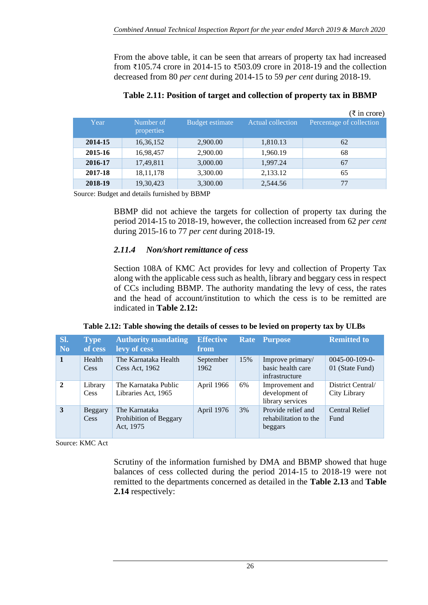From the above table, it can be seen that arrears of property tax had increased from ₹105.74 crore in 2014-15 to ₹503.09 crore in 2018-19 and the collection decreased from 80 *per cent* during 2014-15 to 59 *per cent* during 2018-19.

|         |                         |                 |                          | $(\xi$ in crore)         |
|---------|-------------------------|-----------------|--------------------------|--------------------------|
| Year    | Number of<br>properties | Budget estimate | <b>Actual collection</b> | Percentage of collection |
| 2014-15 | 16,36,152               | 2,900.00        | 1,810.13                 | 62                       |
| 2015-16 | 16,98,457               | 2,900.00        | 1,960.19                 | 68                       |
| 2016-17 | 17,49,811               | 3,000.00        | 1,997.24                 | 67                       |
| 2017-18 | 18, 11, 178             | 3,300.00        | 2,133.12                 | 65                       |
| 2018-19 | 19,30,423               | 3,300.00        | 2,544.56                 | 77                       |

### **Table 2.11: Position of target and collection of property tax in BBMP**

Source: Budget and details furnished by BBMP

BBMP did not achieve the targets for collection of property tax during the period 2014-15 to 2018-19, however, the collection increased from 62 *per cent*  during 2015-16 to 77 *per cent* during 2018-19.

# *2.11.4 Non/short remittance of cess*

Section 108A of KMC Act provides for levy and collection of Property Tax along with the applicable cess such as health, library and beggary cess in respect of CCs including BBMP. The authority mandating the levy of cess, the rates and the head of account/institution to which the cess is to be remitted are indicated in **Table 2.12:**

|  |  | Table 2.12: Table showing the details of cesses to be levied on property tax by ULBs |
|--|--|--------------------------------------------------------------------------------------|
|  |  |                                                                                      |

| SI.<br>N <sub>0</sub> | <b>Type</b><br>of cess | <b>Authority mandating</b><br>levy of cess           | <b>Effective</b><br>from |     | Rate Purpose                                            | <b>Remitted to</b>                       |
|-----------------------|------------------------|------------------------------------------------------|--------------------------|-----|---------------------------------------------------------|------------------------------------------|
| $\mathbf{1}$          | Health<br>Cess         | The Karnataka Health<br>Cess Act, 1962               | September<br>1962        | 15% | Improve primary/<br>basic health care<br>infrastructure | $0045 - 00 - 109 - 0$<br>01 (State Fund) |
| $\overline{2}$        | Library<br>Cess        | The Karnataka Public<br>Libraries Act, 1965          | April 1966               | 6%  | Improvement and<br>development of<br>library services   | District Central/<br>City Library        |
| 3                     | Beggary<br>Cess        | The Karnataka<br>Prohibition of Beggary<br>Act, 1975 | April 1976               | 3%  | Provide relief and<br>rehabilitation to the<br>beggars  | <b>Central Relief</b><br>Fund            |

Source: KMC Act

Scrutiny of the information furnished by DMA and BBMP showed that huge balances of cess collected during the period 2014-15 to 2018-19 were not remitted to the departments concerned as detailed in the **Table 2.13** and **Table 2.14** respectively: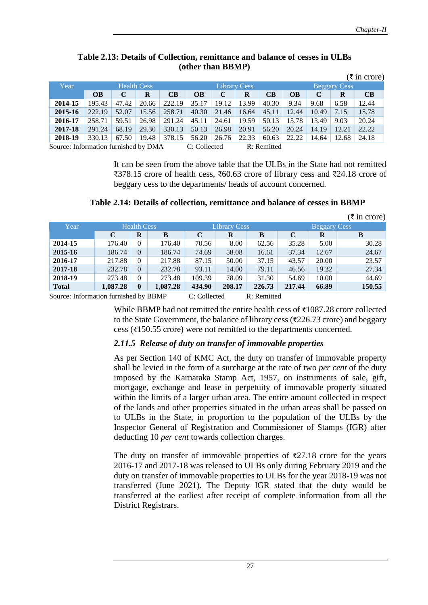|                                                                     |                    |       |       |                     |           |       |                     |           |       |       |       | $(\overline{\xi}$ in crore) |
|---------------------------------------------------------------------|--------------------|-------|-------|---------------------|-----------|-------|---------------------|-----------|-------|-------|-------|-----------------------------|
| Year                                                                | <b>Health Cess</b> |       |       | <b>Library Cess</b> |           |       | <b>Beggary Cess</b> |           |       |       |       |                             |
|                                                                     | <b>OB</b>          | C     | R     | <b>CB</b>           | <b>OB</b> | C     | R                   | <b>CB</b> | OВ    | C     | R     | CB                          |
| 2014-15                                                             | 195.43             | 47.42 | 20.66 | 222.19              | 35.17     | 19.12 | 13.99               | 40.30     | 9.34  | 9.68  | 6.58  | 12.44                       |
| 2015-16                                                             | 222.19             | 52.07 | 15.56 | 258.71              | 40.30     | 21.46 | 16.64               | 45.11     | 12.44 | 10.49 | 7.15  | 15.78                       |
| 2016-17                                                             | 258.71             | 59.51 | 26.98 | 291.24              | 45.11     | 24.61 | 19.59               | 50.13     | 15.78 | 13.49 | 9.03  | 20.24                       |
| 2017-18                                                             | 291.24             | 68.19 | 29.30 | 330.13              | 50.13     | 26.98 | 20.91               | 56.20     | 20.24 | 14.19 | 12.21 | 22.22                       |
| 2018-19                                                             | 330.13             | 67.50 | 19.48 | 378.15              | 56.20     | 26.76 | 22.33               | 60.63     | 22.22 | 14.64 | 12.68 | 24.18                       |
| Source: Information furnished by DMA<br>R: Remitted<br>C: Collected |                    |       |       |                     |           |       |                     |           |       |       |       |                             |

#### **Table 2.13: Details of Collection, remittance and balance of cesses in ULBs (other than BBMP)**

It can be seen from the above table that the ULBs in the State had not remitted ₹378.15 crore of health cess, ₹60.63 crore of library cess and ₹24.18 crore of beggary cess to the departments/ heads of account concerned.

|  | Table 2.14: Details of collection, remittance and balance of cesses in BBMP |
|--|-----------------------------------------------------------------------------|
|--|-----------------------------------------------------------------------------|

|               |                    |                |          |                     |          |         |                     |       | $(\overline{\xi}$ in crore) |
|---------------|--------------------|----------------|----------|---------------------|----------|---------|---------------------|-------|-----------------------------|
| Year          | <b>Health Cess</b> |                |          | <b>Library Cess</b> |          |         | <b>Beggary Cess</b> |       |                             |
|               | $\mathbf C$        | $\bf R$        | B        | $\mathbf C$         | $\bf{R}$ | B       | $\mathbf C$         | R     | B                           |
| 2014-15       | 176.40             | $\mathbf{0}$   | 176.40   | 70.56               | 8.00     | 62.56   | 35.28               | 5.00  | 30.28                       |
| 2015-16       | 186.74             | $\theta$       | 186.74   | 74.69               | 58.08    | 16.61   | 37.34               | 12.67 | 24.67                       |
| 2016-17       | 217.88             | $\mathbf{0}$   | 217.88   | 87.15               | 50.00    | 37.15   | 43.57               | 20.00 | 23.57                       |
| 2017-18       | 232.78             | $\overline{0}$ | 232.78   | 93.11               | 14.00    | 79.11   | 46.56               | 19.22 | 27.34                       |
| 2018-19       | 273.48             | $\mathbf{0}$   | 273.48   | 109.39              | 78.09    | 31.30   | 54.69               | 10.00 | 44.69                       |
| <b>Total</b>  | 1,087.28           | $\bf{0}$       | 1,087.28 | 434.90              | 208.17   | 226.73  | 217.44              | 66.89 | 150.55                      |
| $\sim$ $\sim$ |                    | $\sim$         | -----    | - - -               |          | $    -$ |                     |       |                             |

Source: Information furnished by BBMP C: Collected R: Remitted

While BBMP had not remitted the entire health cess of ₹1087.28 crore collected to the State Government, the balance of library cess ( $\overline{\text{226.73}}$  crore) and beggary cess (₹150.55 crore) were not remitted to the departments concerned.

# *2.11.5 Release of duty on transfer of immovable properties*

As per Section 140 of KMC Act, the duty on transfer of immovable property shall be levied in the form of a surcharge at the rate of two *per cent* of the duty imposed by the Karnataka Stamp Act, 1957, on instruments of sale, gift, mortgage, exchange and lease in perpetuity of immovable property situated within the limits of a larger urban area. The entire amount collected in respect of the lands and other properties situated in the urban areas shall be passed on to ULBs in the State, in proportion to the population of the ULBs by the Inspector General of Registration and Commissioner of Stamps (IGR) after deducting 10 *per cent* towards collection charges.

The duty on transfer of immovable properties of  $\overline{27.18}$  crore for the years 2016-17 and 2017-18 was released to ULBs only during February 2019 and the duty on transfer of immovable properties to ULBs for the year 2018-19 was not transferred (June 2021). The Deputy IGR stated that the duty would be transferred at the earliest after receipt of complete information from all the District Registrars.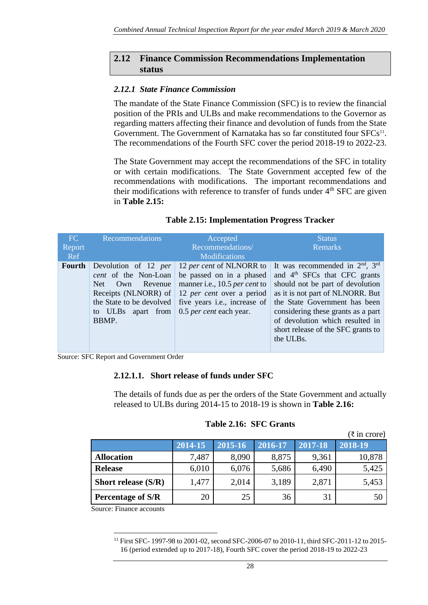### **2.12 Finance Commission Recommendations Implementation status**

### *2.12.1 State Finance Commission*

The mandate of the State Finance Commission (SFC) is to review the financial position of the PRIs and ULBs and make recommendations to the Governor as regarding matters affecting their finance and devolution of funds from the State Government. The Government of Karnataka has so far constituted four SFCs<sup>11</sup>. The recommendations of the Fourth SFC cover the period 2018-19 to 2022-23.

The State Government may accept the recommendations of the SFC in totality or with certain modifications. The State Government accepted few of the recommendations with modifications. The important recommendations and their modifications with reference to transfer of funds under  $4<sup>th</sup>$  SFC are given in **Table 2.15:**

#### **Table 2.15: Implementation Progress Tracker**

| FC     | Recommendations                                                                                                                                        | Accepted                                                                                                                                                                                            | <b>Status</b>                                                                                                                                                                                                                                                                                 |
|--------|--------------------------------------------------------------------------------------------------------------------------------------------------------|-----------------------------------------------------------------------------------------------------------------------------------------------------------------------------------------------------|-----------------------------------------------------------------------------------------------------------------------------------------------------------------------------------------------------------------------------------------------------------------------------------------------|
| Report |                                                                                                                                                        | Recommendations/                                                                                                                                                                                    | <b>Remarks</b>                                                                                                                                                                                                                                                                                |
| Ref    |                                                                                                                                                        | <b>Modifications</b>                                                                                                                                                                                |                                                                                                                                                                                                                                                                                               |
| Fourth | Devolution of 12 per<br>cent of the Non-Loan<br>Net.<br>Own Revenue<br>Receipts (NLNORR) of<br>the State to be devolved<br>to ULBs apart from<br>BBMP. | 12 per cent of NLNORR to<br>be passed on in a phased<br>manner i.e., 10.5 per cent to<br>12 <i>per cent</i> over a period<br>five years <i>i.e.</i> , increase of<br>0.5 <i>per cent</i> each year. | It was recommended in $2nd$ , $3rd$<br>and $4th$ SFCs that CFC grants<br>should not be part of devolution<br>as it is not part of NLNORR. But<br>the State Government has been<br>considering these grants as a part<br>of devolution which resulted in<br>short release of the SFC grants to |
|        |                                                                                                                                                        |                                                                                                                                                                                                     | the ULBs.                                                                                                                                                                                                                                                                                     |

Source: SFC Report and Government Order

### **2.12.1.1. Short release of funds under SFC**

The details of funds due as per the orders of the State Government and actually released to ULBs during 2014-15 to 2018-19 is shown in **Table 2.16:**

|                          |         |         |         |         | $(\overline{\xi}$ in crore) |
|--------------------------|---------|---------|---------|---------|-----------------------------|
|                          | 2014-15 | 2015-16 | 2016-17 | 2017-18 | 2018-19                     |
| <b>Allocation</b>        | 7,487   | 8,090   | 8,875   | 9,361   | 10,878                      |
| <b>Release</b>           | 6,010   | 6,076   | 5,686   | 6,490   | 5,425                       |
| Short release $(S/R)$    | 1,477   | 2,014   | 3,189   | 2,871   | 5,453                       |
| <b>Percentage of S/R</b> | 20      | 25      | 36      | 31      | 50                          |

#### **Table 2.16: SFC Grants**

Source: Finance accounts

<sup>11</sup> First SFC- 1997-98 to 2001-02, second SFC-2006-07 to 2010-11, third SFC-2011-12 to 2015- 16 (period extended up to 2017-18), Fourth SFC cover the period 2018-19 to 2022-23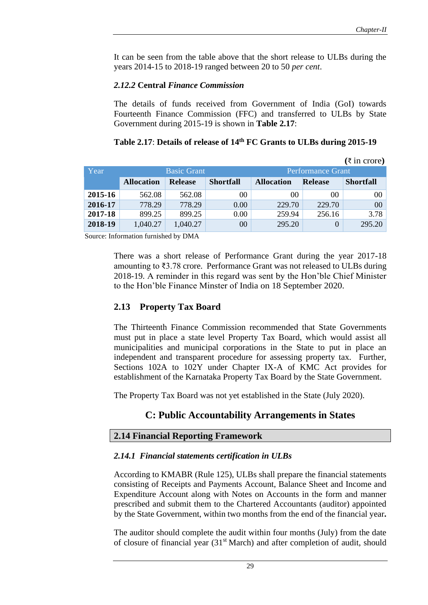It can be seen from the table above that the short release to ULBs during the years 2014-15 to 2018-19 ranged between 20 to 50 *per cent*.

#### *2.12.2* **Central** *Finance Commission*

The details of funds received from Government of India (GoI) towards Fourteenth Finance Commission (FFC) and transferred to ULBs by State Government during 2015-19 is shown in **Table 2.17**:

|         |                   |                                                |                  |                   |                | $(\xi \text{ in } \text{core})$ |
|---------|-------------------|------------------------------------------------|------------------|-------------------|----------------|---------------------------------|
| Year    |                   | <b>Basic Grant</b><br><b>Performance Grant</b> |                  |                   |                |                                 |
|         | <b>Allocation</b> | <b>Release</b>                                 | <b>Shortfall</b> | <b>Allocation</b> | <b>Release</b> | <b>Shortfall</b>                |
| 2015-16 | 562.08            | 562.08                                         | 00               | 00                | 0 <sup>0</sup> | 00                              |
| 2016-17 | 778.29            | 778.29                                         | 0.00             | 229.70            | 229.70         | 00                              |
| 2017-18 | 899.25            | 899.25                                         | 0.00             | 259.94            | 256.16         | 3.78                            |
| 2018-19 | 1,040.27          | 1,040.27                                       | 00               | 295.20            |                | 295.20                          |

#### **Table 2.17**: **Details of release of 14th FC Grants to ULBs during 2015-19**

Source: Information furnished by DMA

There was a short release of Performance Grant during the year 2017-18 amounting to ₹3.78 crore. Performance Grant was not released to ULBs during 2018-19. A reminder in this regard was sent by the Hon'ble Chief Minister to the Hon'ble Finance Minster of India on 18 September 2020.

# **2.13 Property Tax Board**

The Thirteenth Finance Commission recommended that State Governments must put in place a state level Property Tax Board, which would assist all municipalities and municipal corporations in the State to put in place an independent and transparent procedure for assessing property tax. Further, Sections 102A to 102Y under Chapter IX-A of KMC Act provides for establishment of the Karnataka Property Tax Board by the State Government.

The Property Tax Board was not yet established in the State (July 2020).

# **C: Public Accountability Arrangements in States**

# **2.14 Financial Reporting Framework**

#### *2.14.1 Financial statements certification in ULBs*

According to KMABR (Rule 125), ULBs shall prepare the financial statements consisting of Receipts and Payments Account, Balance Sheet and Income and Expenditure Account along with Notes on Accounts in the form and manner prescribed and submit them to the Chartered Accountants (auditor) appointed by the State Government, within two months from the end of the financial year**.** 

The auditor should complete the audit within four months (July) from the date of closure of financial year  $(31<sup>st</sup> March)$  and after completion of audit, should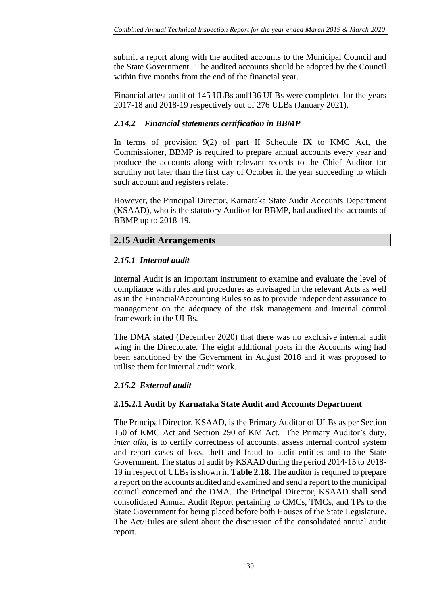submit a report along with the audited accounts to the Municipal Council and the State Government. The audited accounts should be adopted by the Council within five months from the end of the financial year.

Financial attest audit of 145 ULBs and136 ULBs were completed for the years 2017-18 and 2018-19 respectively out of 276 ULBs (January 2021).

# *2.14.2 Financial statements certification in BBMP*

In terms of provision 9(2) of part II Schedule IX to KMC Act, the Commissioner, BBMP is required to prepare annual accounts every year and produce the accounts along with relevant records to the Chief Auditor for scrutiny not later than the first day of October in the year succeeding to which such account and registers relate.

However, the Principal Director, Karnataka State Audit Accounts Department (KSAAD), who is the statutory Auditor for BBMP, had audited the accounts of BBMP up to 2018-19.

# **2.15 Audit Arrangements**

# *2.15.1 Internal audit*

Internal Audit is an important instrument to examine and evaluate the level of compliance with rules and procedures as envisaged in the relevant Acts as well as in the Financial/Accounting Rules so as to provide independent assurance to management on the adequacy of the risk management and internal control framework in the ULBs.

The DMA stated (December 2020) that there was no exclusive internal audit wing in the Directorate. The eight additional posts in the Accounts wing had been sanctioned by the Government in August 2018 and it was proposed to utilise them for internal audit work.

# *2.15.2 External audit*

# **2.15.2.1 Audit by Karnataka State Audit and Accounts Department**

The Principal Director, KSAAD, is the Primary Auditor of ULBs as per Section 150 of KMC Act and Section 290 of KM Act. The Primary Auditor's duty, *inter alia, is to certify correctness of accounts, assess internal control system* and report cases of loss, theft and fraud to audit entities and to the State Government. The status of audit by KSAAD during the period 2014-15 to 2018- 19 in respect of ULBs is shown in **Table 2.18.** The auditor is required to prepare a report on the accounts audited and examined and send a report to the municipal council concerned and the DMA. The Principal Director, KSAAD shall send consolidated Annual Audit Report pertaining to CMCs, TMCs, and TPs to the State Government for being placed before both Houses of the State Legislature. The Act/Rules are silent about the discussion of the consolidated annual audit report.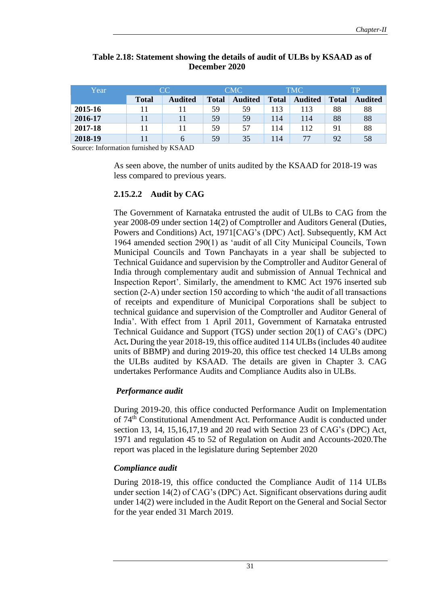| Year    | CC.          |                | <b>CMC</b>   |                | TMC.         |                | TP           |                |
|---------|--------------|----------------|--------------|----------------|--------------|----------------|--------------|----------------|
|         | <b>Total</b> | <b>Audited</b> | <b>Total</b> | <b>Audited</b> | <b>Total</b> | <b>Audited</b> | <b>Total</b> | <b>Audited</b> |
| 2015-16 |              |                | 59           | 59             | 113          | 113            | 88           | 88             |
| 2016-17 |              | 11             | 59           | 59             | 114          | 114            | 88           | 88             |
| 2017-18 |              | 11             | 59           | 57             | 114          | 112            | 91           | 88             |
| 2018-19 |              | 6              | 59           | 35             | 114          | 77             | 92           | 58             |

#### **Table 2.18: Statement showing the details of audit of ULBs by KSAAD as of December 2020**

Source: Information furnished by KSAAD

As seen above, the number of units audited by the KSAAD for 2018-19 was less compared to previous years.

#### **2.15.2.2 Audit by CAG**

The Government of Karnataka entrusted the audit of ULBs to CAG from the year 2008-09 under section 14(2) of Comptroller and Auditors General (Duties, Powers and Conditions) Act, 1971[CAG's (DPC) Act]. Subsequently, KM Act 1964 amended section 290(1) as 'audit of all City Municipal Councils, Town Municipal Councils and Town Panchayats in a year shall be subjected to Technical Guidance and supervision by the Comptroller and Auditor General of India through complementary audit and submission of Annual Technical and Inspection Report'. Similarly, the amendment to KMC Act 1976 inserted sub section (2-A) under section 150 according to which 'the audit of all transactions of receipts and expenditure of Municipal Corporations shall be subject to technical guidance and supervision of the Comptroller and Auditor General of India'. With effect from 1 April 2011, Government of Karnataka entrusted Technical Guidance and Support (TGS) under section 20(1) of CAG's (DPC) Act**.** During the year 2018-19, this office audited 114 ULBs (includes 40 auditee units of BBMP) and during 2019-20, this office test checked 14 ULBs among the ULBs audited by KSAAD. The details are given in Chapter 3. CAG undertakes Performance Audits and Compliance Audits also in ULBs.

# *Performance audit*

During 2019-20, this office conducted Performance Audit on Implementation of 74th Constitutional Amendment Act. Performance Audit is conducted under section 13, 14, 15,16,17,19 and 20 read with Section 23 of CAG's (DPC) Act, 1971 and regulation 45 to 52 of Regulation on Audit and Accounts-2020.The report was placed in the legislature during September 2020

#### *Compliance audit*

During 2018-19, this office conducted the Compliance Audit of 114 ULBs under section 14(2) of CAG's (DPC) Act. Significant observations during audit under 14(2) were included in the Audit Report on the General and Social Sector for the year ended 31 March 2019.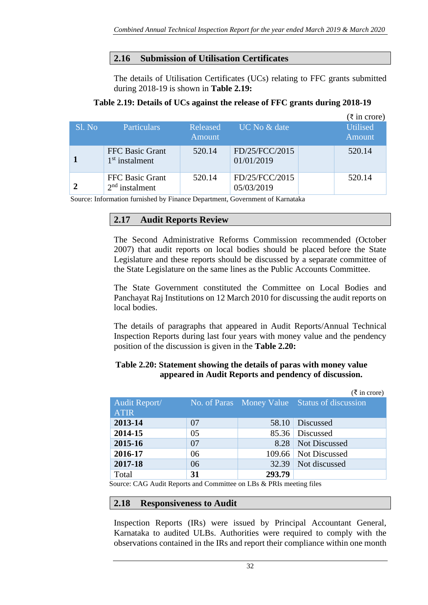# **2.16 Submission of Utilisation Certificates**

The details of Utilisation Certificates (UCs) relating to FFC grants submitted during 2018-19 is shown in **Table 2.19:**

### **Table 2.19: Details of UCs against the release of FFC grants during 2018-19**

|        |                                            |          |                              | $(\overline{\xi}$ in crore) |
|--------|--------------------------------------------|----------|------------------------------|-----------------------------|
| Sl. No | <b>Particulars</b>                         | Released | <b>UC</b> No & date          | <b>Utilised</b>             |
|        |                                            | Amount   |                              | Amount                      |
|        | <b>FFC Basic Grant</b><br>$1st$ instalment | 520.14   | FD/25/FCC/2015<br>01/01/2019 | 520.14                      |
|        | FFC Basic Grant<br>$2nd$ instalment        | 520.14   | FD/25/FCC/2015<br>05/03/2019 | 520.14                      |

Source: Information furnished by Finance Department, Government of Karnataka

# **2.17 Audit Reports Review**

The Second Administrative Reforms Commission recommended (October 2007) that audit reports on local bodies should be placed before the State Legislature and these reports should be discussed by a separate committee of the State Legislature on the same lines as the Public Accounts Committee.

The State Government constituted the Committee on Local Bodies and Panchayat Raj Institutions on 12 March 2010 for discussing the audit reports on local bodies.

The details of paragraphs that appeared in Audit Reports/Annual Technical Inspection Reports during last four years with money value and the pendency position of the discussion is given in the **Table 2.20:**

### **Table 2.20: Statement showing the details of paras with money value appeared in Audit Reports and pendency of discussion.**

|               |    |        | $(\xi \text{ in } \text{core})$               |
|---------------|----|--------|-----------------------------------------------|
| Audit Report/ |    |        | No. of Paras Money Value Status of discussion |
| <b>ATIR</b>   |    |        |                                               |
| 2013-14       | 07 | 58.10  | <b>Discussed</b>                              |
| 2014-15       | 05 |        | 85.36 Discussed                               |
| 2015-16       | 07 | 8.28   | <b>Not Discussed</b>                          |
| 2016-17       | 06 |        | 109.66 Not Discussed                          |
| 2017-18       | 06 | 32.39  | Not discussed                                 |
| Total         | 31 | 293.79 |                                               |

Source: CAG Audit Reports and Committee on LBs & PRIs meeting files

#### **2.18 Responsiveness to Audit**

Inspection Reports (IRs) were issued by Principal Accountant General, Karnataka to audited ULBs. Authorities were required to comply with the observations contained in the IRs and report their compliance within one month